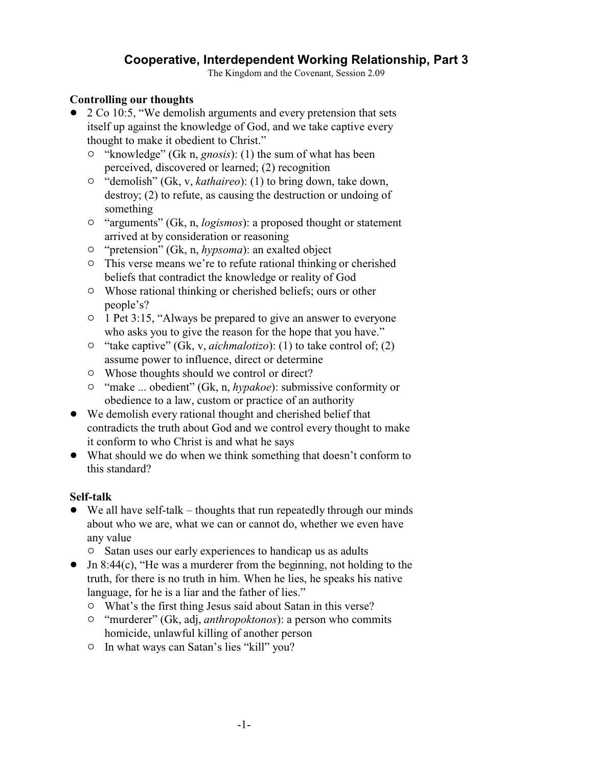# **Cooperative, Interdependent Working Relationship, Part 3**

The Kingdom and the Covenant, Session 2.09

#### **Controlling our thoughts**

- 2 Co 10:5, "We demolish arguments and every pretension that sets itself up against the knowledge of God, and we take captive every thought to make it obedient to Christ."
	- <sup>o</sup> "knowledge" (Gk n, *gnosis*): (1) the sum of what has been perceived, discovered or learned; (2) recognition
	- " "demolish" (Gk, v, *kathaireo*): (1) to bring down, take down, destroy; (2) to refute, as causing the destruction or undoing of something
	- <sup>o</sup> "arguments" (Gk, n, *logismos*): a proposed thought or statement arrived at by consideration or reasoning
	- <sup>o</sup> "pretension" (Gk, n, *hypsoma*): an exalted object
	- <sup>o</sup> This verse means we're to refute rational thinking or cherished beliefs that contradict the knowledge or reality of God
	- $\circ$  Whose rational thinking or cherished beliefs; ours or other people's?
	- <sup>o</sup> 1 Pet 3:15, "Always be prepared to give an answer to everyone who asks you to give the reason for the hope that you have."
	- <sup>o</sup> "take captive" (Gk, v, *aichmalotizo*): (1) to take control of; (2) assume power to influence, direct or determine
	- $\circ$  Whose thoughts should we control or direct?
	- <sup>o</sup> "make ... obedient" (Gk, n, *hypakoe*): submissive conformity or obedience to a law, custom or practice of an authority
- ! We demolish every rational thought and cherished belief that contradicts the truth about God and we control every thought to make it conform to who Christ is and what he says
- What should we do when we think something that doesn't conform to this standard?

## **Self-talk**

- $\bullet$  We all have self-talk thoughts that run repeatedly through our minds about who we are, what we can or cannot do, whether we even have any value
	- $\circ$  Satan uses our early experiences to handicap us as adults
- $\bullet$  Jn 8:44(c), "He was a murderer from the beginning, not holding to the truth, for there is no truth in him. When he lies, he speaks his native language, for he is a liar and the father of lies."
	- $\circ$  What's the first thing Jesus said about Satan in this verse?
	- <sup>o</sup> "murderer" (Gk, adj, *anthropoktonos*): a person who commits homicide, unlawful killing of another person
	- $\circ$  In what ways can Satan's lies "kill" you?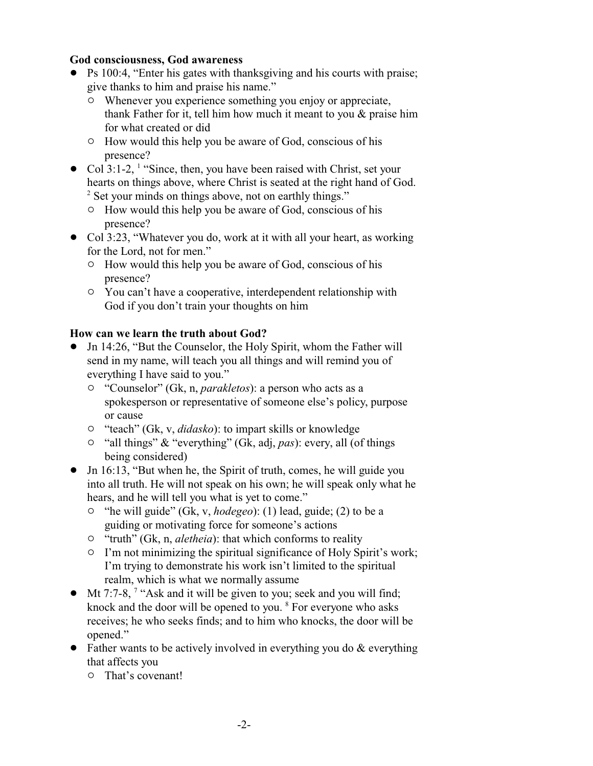### **God consciousness, God awareness**

- Ps 100:4, "Enter his gates with thanksgiving and his courts with praise; give thanks to him and praise his name."
	- $\circ$  Whenever you experience something you enjoy or appreciate, thank Father for it, tell him how much it meant to you & praise him for what created or did
	- $\circ$  How would this help you be aware of God, conscious of his presence?
- Col 3:1-2,  $\frac{1}{1}$  "Since, then, you have been raised with Christ, set your hearts on things above, where Christ is seated at the right hand of God. <sup>2</sup> Set your minds on things above, not on earthly things."
	- $\circ$  How would this help you be aware of God, conscious of his presence?
- Col 3:23, "Whatever you do, work at it with all your heart, as working for the Lord, not for men."
	- $\circ$  How would this help you be aware of God, conscious of his presence?
	- $\circ$  You can't have a cooperative, interdependent relationship with God if you don't train your thoughts on him

## **How can we learn the truth about God?**

- Jn 14:26, "But the Counselor, the Holy Spirit, whom the Father will send in my name, will teach you all things and will remind you of everything I have said to you."
	- " "Counselor" (Gk, n, *parakletos*): a person who acts as a spokesperson or representative of someone else's policy, purpose or cause
	- " "teach" (Gk, v, *didasko*): to impart skills or knowledge
	- <sup>o</sup> "all things" & "everything" (Gk, adj, *pas*): every, all (of things being considered)
- Jn 16:13, "But when he, the Spirit of truth, comes, he will guide you into all truth. He will not speak on his own; he will speak only what he hears, and he will tell you what is yet to come."
	- <sup>o</sup> "he will guide" (Gk, v, *hodegeo*): (1) lead, guide; (2) to be a guiding or motivating force for someone's actions
	- <sup>o</sup> "truth" (Gk, n, *aletheia*): that which conforms to reality
	- $\circ$  I'm not minimizing the spiritual significance of Holy Spirit's work; I'm trying to demonstrate his work isn't limited to the spiritual realm, which is what we normally assume
- $\bullet$  Mt 7:7-8, <sup>7</sup> "Ask and it will be given to you; seek and you will find; knock and the door will be opened to you. <sup>8</sup> For everyone who asks receives; he who seeks finds; and to him who knocks, the door will be opened."
- Father wants to be actively involved in everything you do  $&$  everything that affects you
	- $\circ$  That's covenant!